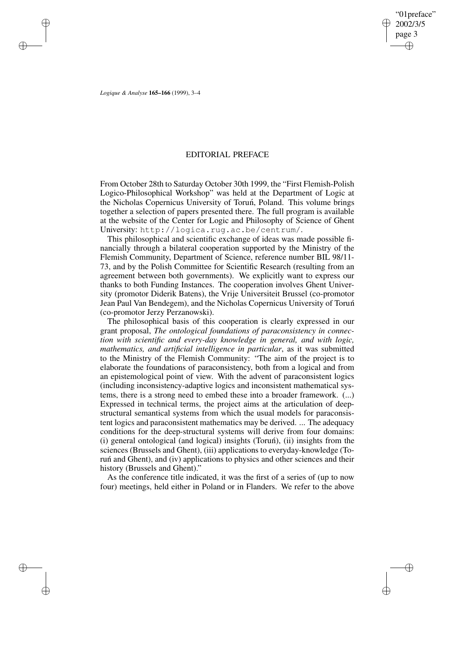✐

✐

*Logique & Analyse* **165–166** (1999), 3–4

✐

✐

✐

✐

## EDITORIAL PREFACE

From October 28th to Saturday October 30th 1999, the "First Flemish-Polish Logico-Philosophical Workshop" was held at the Department of Logic at the Nicholas Copernicus University of Torun,´ Poland. This volume brings together a selection of papers presented there. The full program is available at the website of the Center for Logic and Philosophy of Science of Ghent University: http://logica.rug.ac.be/centrum/.

This philosophical and scientific exchange of ideas was made possible financially through a bilateral cooperation supported by the Ministry of the Flemish Community, Department of Science, reference number BIL 98/11- 73, and by the Polish Committee for Scientific Research (resulting from an agreement between both governments). We explicitly want to express our thanks to both Funding Instances. The cooperation involves Ghent University (promotor Diderik Batens), the Vrije Universiteit Brussel (co-promotor Jean Paul Van Bendegem), and the Nicholas Copernicus University of Toruń (co-promotor Jerzy Perzanowski).

The philosophical basis of this cooperation is clearly expressed in our grant proposal, *The ontological foundations of paraconsistency in connection with scientific and every-day knowledge in general, and with logic, mathematics, and artificial intelligence in particular*, as it was submitted to the Ministry of the Flemish Community: "The aim of the project is to elaborate the foundations of paraconsistency, both from a logical and from an epistemological point of view. With the advent of paraconsistent logics (including inconsistency-adaptive logics and inconsistent mathematical systems, there is a strong need to embed these into a broader framework. (...) Expressed in technical terms, the project aims at the articulation of deepstructural semantical systems from which the usual models for paraconsistent logics and paraconsistent mathematics may be derived. ... The adequacy conditions for the deep-structural systems will derive from four domains:  $(i)$  general ontological (and logical) insights (Torun),  $(ii)$  insights from the sciences (Brussels and Ghent), (iii) applications to everyday-knowledge (Torun´ and Ghent), and (iv) applications to physics and other sciences and their history (Brussels and Ghent)."

As the conference title indicated, it was the first of a series of (up to now four) meetings, held either in Poland or in Flanders. We refer to the above